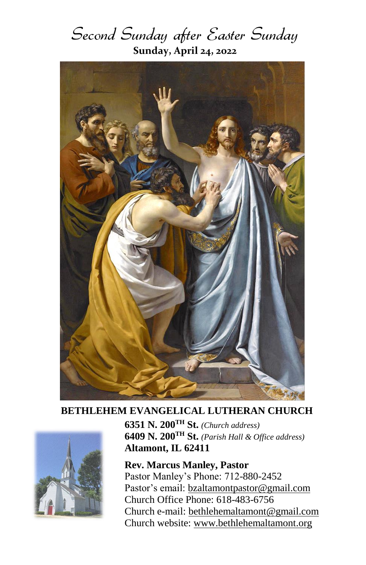



## **BETHLEHEM EVANGELICAL LUTHERAN CHURCH**



**6351 N. 200TH St.** *(Church address)* **6409 N. 200TH St.** *(Parish Hall & Office address)* **Altamont, IL 62411**

**Rev. Marcus Manley, Pastor** Pastor Manley's Phone: 712-880-2452 Pastor's email: [bzaltamontpastor@gmail.com](mailto:bzaltamontpastor@gmail.com) Church Office Phone: 618-483-6756 Church e-mail: [bethlehemaltamont@gmail.com](mailto:bethlehemaltamont@gmail.com) Church website: [www.bethlehemaltamont.org](http://www.bethlehemaltamont.org/)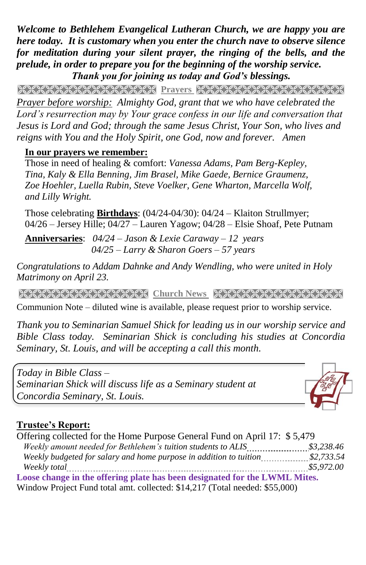*Welcome to Bethlehem Evangelical Lutheran Church, we are happy you are here today. It is customary when you enter the church nave to observe silence for meditation during your silent prayer, the ringing of the bells, and the prelude, in order to prepare you for the beginning of the worship service. Thank you for joining us today and God's blessings.*

Prayers and prayers and the process of the process of the process of the college of the college of the college of the college of the college of the college of the college of the college of the college of the college of the *Prayer before worship: Almighty God, grant that we who have celebrated the Lord's resurrection may by Your grace confess in our life and conversation that Jesus is Lord and God; through the same Jesus Christ, Your Son, who lives and reigns with You and the Holy Spirit, one God, now and forever. Amen*

#### **In our prayers we remember:**

Those in need of healing & comfort: *Vanessa Adams, Pam Berg-Kepley, Tina, Kaly & Ella Benning, Jim Brasel, Mike Gaede, Bernice Graumenz, Zoe Hoehler, Luella Rubin, Steve Voelker, Gene Wharton, Marcella Wolf, and Lilly Wright.*

Those celebrating **Birthdays**: (04/24-04/30): 04/24 – Klaiton Strullmyer; 04/26 – Jersey Hille; 04/27 – Lauren Yagow; 04/28 – Elsie Shoaf, Pete Putnam

**Anniversaries**: *04/24 – Jason & Lexie Caraway – 12 years 04/25 – Larry & Sharon Goers – 57 years*

*Congratulations to Addam Dahnke and Andy Wendling, who were united in Holy Matrimony on April 23.*

**Church News RECESSION CONTRACT CONTRACT CONTRACT AND RELATED AT A LIGHT OF A LIGHT OF A LIGHT OF A LIGHT OF A** 

Communion Note – diluted wine is available, please request prior to worship service.

*Thank you to Seminarian Samuel Shick for leading us in our worship service and Bible Class today. Seminarian Shick is concluding his studies at Concordia Seminary, St. Louis, and will be accepting a call this month.* 

*Today in Bible Class – Seminarian Shick will discuss life as a Seminary student at Concordia Seminary, St. Louis.*



### **Trustee's Report:**

Offering collected for the Home Purpose General Fund on April 17: \$ 5,479  *Weekly amount needed for Bethlehem's tuition students to ALIS \$3,238.46 Weekly budgeted for salary and home purpose in addition to tuition \$2,733.54 Weekly total \$5,972.00* **Loose change in the offering plate has been designated for the LWML Mites.** Window Project Fund total amt. collected: \$14,217 (Total needed: \$55,000)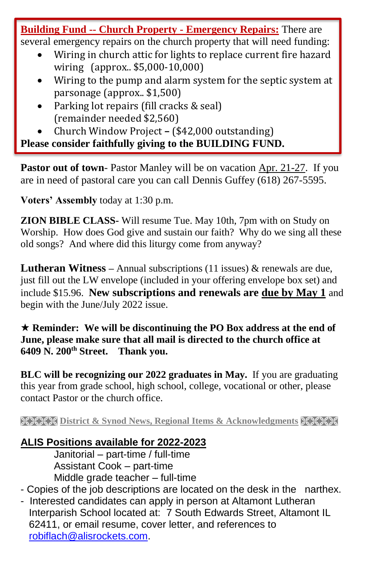**Building Fund -- Church Property - Emergency Repairs:** There are several emergency repairs on the church property that will need funding:

- Wiring in church attic for lights to replace current fire hazard wiring (approx.. \$5,000-10,000)
- Wiring to the pump and alarm system for the septic system at parsonage (approx.. \$1,500)
- Parking lot repairs (fill cracks & seal) (remainder needed \$2,560)
- Church Window Project **–** (\$42,000 outstanding)

**Please consider faithfully giving to the BUILDING FUND.**

**Pastor out of town**- Pastor Manley will be on vacation Apr. 21-27. If you are in need of pastoral care you can call Dennis Guffey (618) 267-5595.

**Voters' Assembly** today at 1:30 p.m.

**ZION BIBLE CLASS-** Will resume Tue. May 10th, 7pm with on Study on Worship. How does God give and sustain our faith? Why do we sing all these old songs? And where did this liturgy come from anyway?

**Lutheran Witness –** Annual subscriptions (11 issues) & renewals are due, just fill out the LW envelope (included in your offering envelope box set) and include \$15.96. **New subscriptions and renewals are due by May 1** and begin with the June/July 2022 issue.

 **Reminder: We will be discontinuing the PO Box address at the end of June, please make sure that all mail is directed to the church office at 6409 N. 200th Street. Thank you.**

**BLC will be recognizing our 2022 graduates in May.** If you are graduating this year from grade school, high school, college, vocational or other, please contact Pastor or the church office.

**EXECT District & Synod News, Regional Items & Acknowledgments HEER** 

## **ALIS Positions available for 2022-2023**

Janitorial – part-time / full-time Assistant Cook – part-time Middle grade teacher – full-time

- Copies of the job descriptions are located on the desk in the narthex.

- Interested candidates can apply in person at Altamont Lutheran Interparish School located at: 7 South Edwards Street, Altamont IL 62411, or email resume, cover letter, and references to [robiflach@alisrockets.com.](mailto:robiflach@alisrockets.com)